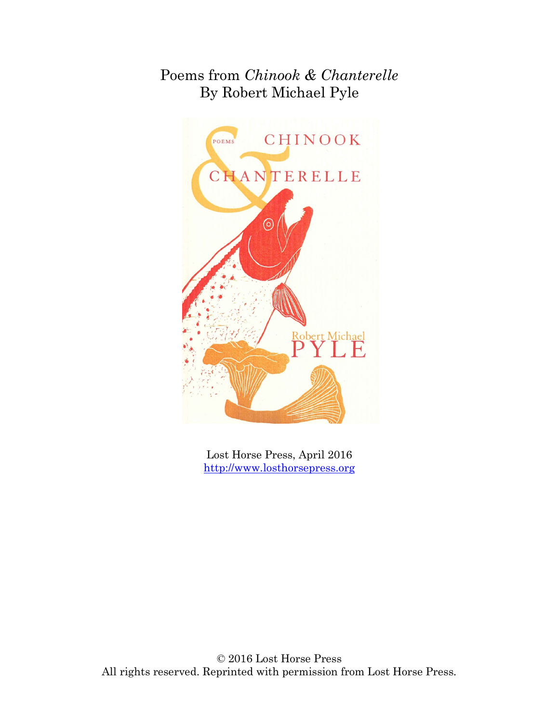## Poems from *Chinook & Chanterelle* By Robert Michael Pyle



Lost Horse Press, April 2016 [http://www.losthorsepress.org](http://www.losthorsepress.org/)

© 2016 Lost Horse Press All rights reserved. Reprinted with permission from Lost Horse Press.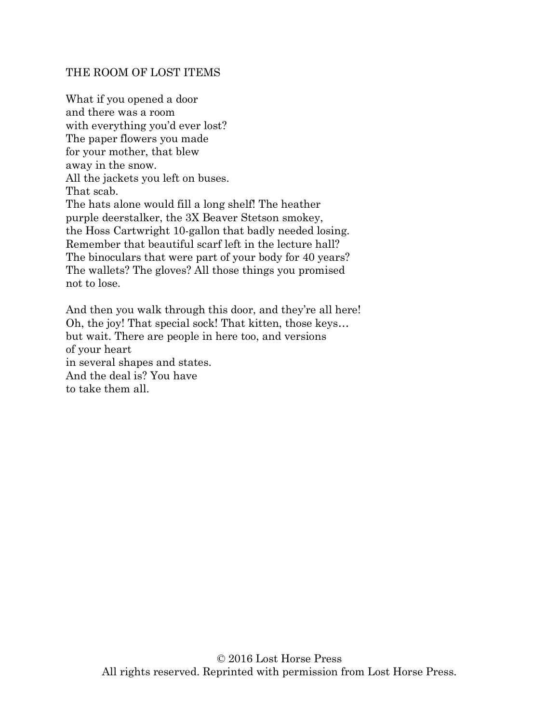## THE ROOM OF LOST ITEMS

What if you opened a door and there was a room with everything you'd ever lost? The paper flowers you made for your mother, that blew away in the snow. All the jackets you left on buses. That scab. The hats alone would fill a long shelf! The heather purple deerstalker, the 3X Beaver Stetson smokey, the Hoss Cartwright 10-gallon that badly needed losing. Remember that beautiful scarf left in the lecture hall? The binoculars that were part of your body for 40 years? The wallets? The gloves? All those things you promised not to lose.

And then you walk through this door, and they're all here! Oh, the joy! That special sock! That kitten, those keys… but wait. There are people in here too, and versions of your heart in several shapes and states. And the deal is? You have to take them all.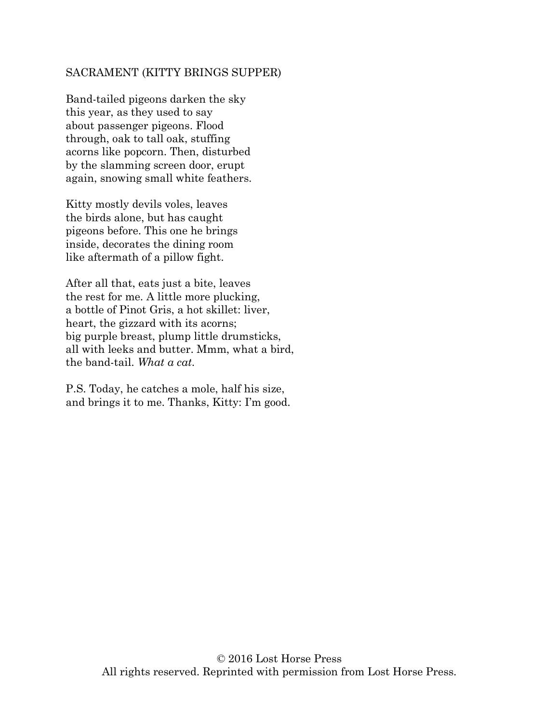## SACRAMENT (KITTY BRINGS SUPPER)

Band-tailed pigeons darken the sky this year, as they used to say about passenger pigeons. Flood through, oak to tall oak, stuffing acorns like popcorn. Then, disturbed by the slamming screen door, erupt again, snowing small white feathers.

Kitty mostly devils voles, leaves the birds alone, but has caught pigeons before. This one he brings inside, decorates the dining room like aftermath of a pillow fight.

After all that, eats just a bite, leaves the rest for me. A little more plucking, a bottle of Pinot Gris, a hot skillet: liver, heart, the gizzard with its acorns; big purple breast, plump little drumsticks, all with leeks and butter. Mmm, what a bird, the band-tail. *What a cat*.

P.S. Today, he catches a mole, half his size, and brings it to me. Thanks, Kitty: I'm good.